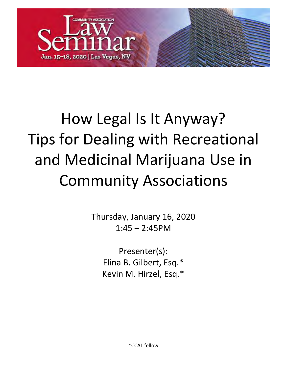

# How Legal Is It Anyway? Tips for Dealing with Recreational and Medicinal Marijuana Use in Community Associations

Thursday, January 16, 2020  $1:45 - 2:45$ PM

> Presenter(s): Elina B. Gilbert, Esq.\* Kevin M. Hirzel, Esq.\*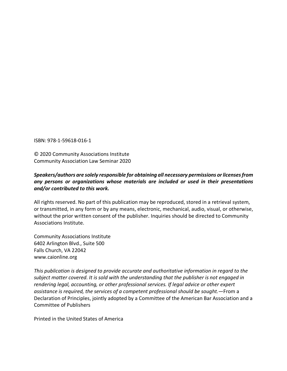ISBN: 978-1-59618-016-1

© 2020 Community Associations Institute Community Association Law Seminar 2020

# *Speakers/authors are solely responsible for obtaining all necessary permissions or licenses from any persons or organizations whose materials are included or used in their presentations and/or contributed to this work.*

All rights reserved. No part of this publication may be reproduced, stored in a retrieval system, or transmitted, in any form or by any means, electronic, mechanical, audio, visual, or otherwise, without the prior written consent of the publisher. Inquiries should be directed to Community Associations Institute.

Community Associations Institute 6402 Arlington Blvd., Suite 500 Falls Church, VA 22042 www.caionline.org

*This publication is designed to provide accurate and authoritative information in regard to the subject matter covered. It is sold with the understanding that the publisher is not engaged in rendering legal, accounting, or other professional services. If legal advice or other expert assistance is required, the services of a competent professional should be sought.*—From a Declaration of Principles, jointly adopted by a Committee of the American Bar Association and a Committee of Publishers

Printed in the United States of America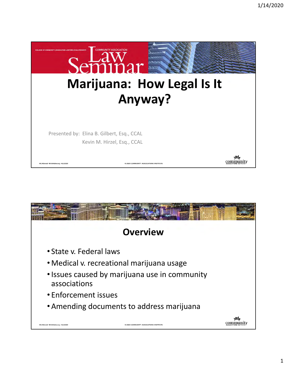

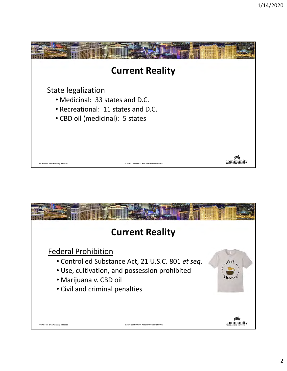

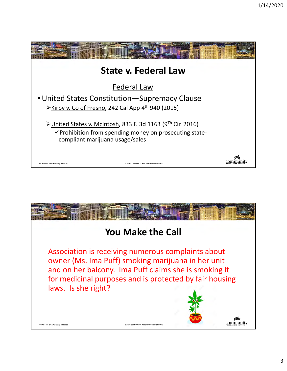

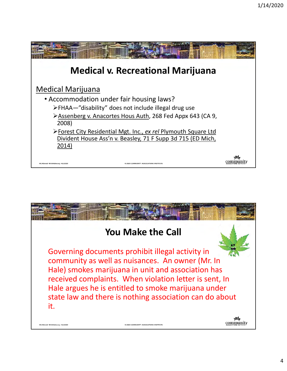

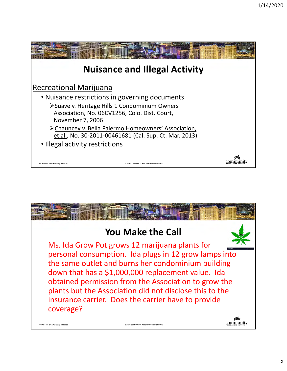

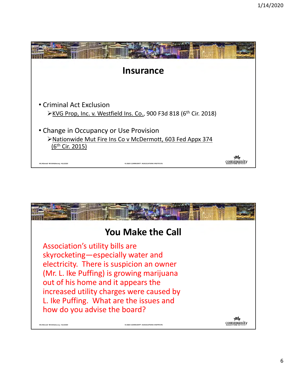

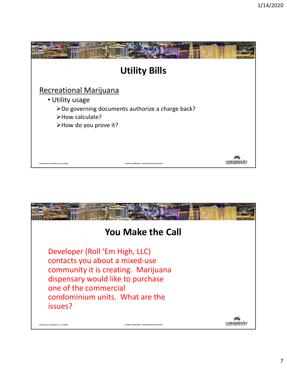

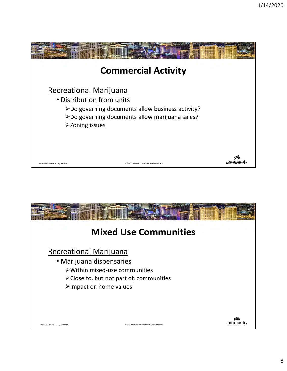

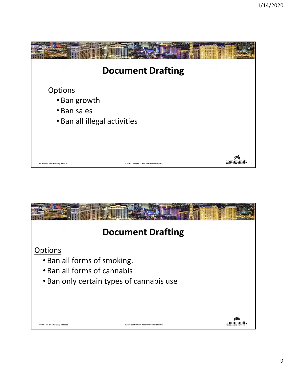

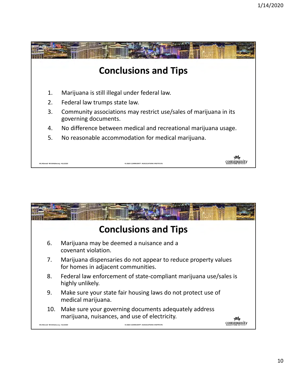

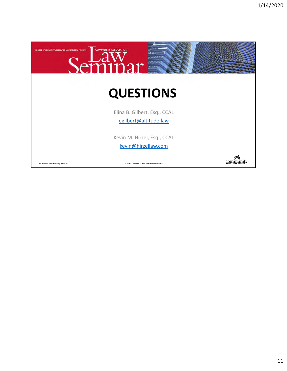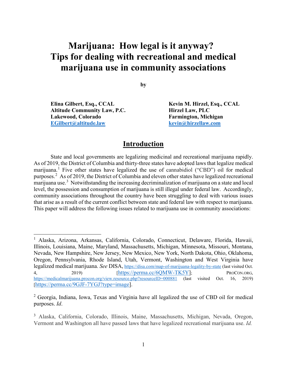# **Marijuana: How legal is it anyway? Tips for dealing with recreational and medical marijuana use in community associations**

**by**

Elina Gilbert, Esq., CCAL Kevin M. Hirzel, Esq., CCAL **Altitude Community Law, P.C. Hirzel Law, PLC** Lakewood, Colorado **Farmington**, Michigan **[EGilbert@altitude.law](mailto:EGilbert@altitude.law) [kevin@hirzellaw.com](mailto:kevin@hirzellaw.com)** 

 $\overline{a}$ 

# **Introduction**

State and local governments are legalizing medicinal and recreational marijuana rapidly. As of 2019, the District of Columbia and thirty-three states have adopted laws that legalize medical marijuana.<sup>[1](#page-13-0)</sup> Five other states have legalized the use of cannabidiol ("CBD") oil for medical purposes.<sup>[2](#page-13-1)</sup> As of 2019, the District of Columbia and eleven other states have legalized recreational marijuana use.<sup>[3](#page-13-2)</sup> Notwithstanding the increasing decriminalization of marijuana on a state and local level, the possession and consumption of marijuana is still illegal under federal law. Accordingly, community associations throughout the country have been struggling to deal with various issues that arise as a result of the current conflict between state and federal law with respect to marijuana. This paper will address the following issues related to marijuana use in community associations:

<span id="page-13-0"></span><sup>1</sup> Alaska, Arizona, Arkansas, California, Colorado, Connecticut, Delaware, Florida, Hawaii, Illinois, Louisiana, Maine, Maryland, Massachusetts, Michigan, Minnesota, Missouri, Montana, Nevada, New Hampshire, New Jersey, New Mexico, New York, North Dakota, Ohio, Oklahoma, Oregon, Pennsylvania, Rhode Island, Utah, Vermont, Washington and West Virginia have legalized medical marijuana. *See* DISA, <https://disa.com/map-of-marijuana-legality-by-state> (last visited Oct. 4, 2019) [\[https://perma.cc/6QMW-TK5Y\]](https://perma.cc/6QMW-TK5Y); PROCON.ORG, <https://medicalmarijuana.procon.org/view.resource.php?resourceID=000881> (last visited Oct. 16, 2019) [\[https://perma.cc/9GJF-7YGJ?type=image\]](https://perma.cc/9GJF-7YGJ?type=image).

<span id="page-13-1"></span><sup>2</sup> Georgia, Indiana, Iowa, Texas and Virginia have all legalized the use of CBD oil for medical purposes. *Id*.

<span id="page-13-2"></span><sup>3</sup> Alaska, California, Colorado, Illinois, Maine, Massachusetts, Michigan, Nevada, Oregon, Vermont and Washington all have passed laws that have legalized recreational marijuana use. *Id.*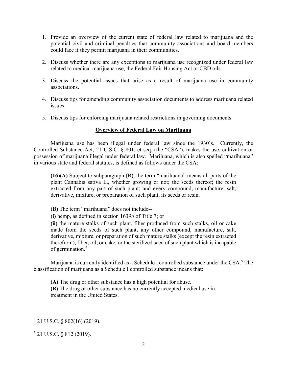- 1. Provide an overview of the current state of federal law related to marijuana and the potential civil and criminal penalties that community associations and board members could face if they permit marijuana in their communities.
- 2. Discuss whether there are any exceptions to marijuana use recognized under federal law related to medical marijuana use, the Federal Fair Housing Act or CBD oils.
- 3. Discuss the potential issues that arise as a result of marijuana use in community associations.
- 4. Discuss tips for amending community association documents to address marijuana related issues.
- 5. Discuss tips for enforcing marijuana related restrictions in governing documents.

# **Overview of Federal Law on Marijuana**

Marijuana use has been illegal under federal law since the 1930's. Currently, the Controlled Substance Act, 21 U.S.C. § 801, et seq. (the "CSA"), makes the use, cultivation or possession of marijuana illegal under federal law. Marijuana, which is also spelled "marihuana" in various state and federal statutes, is defined as follows under the CSA:

**(16)(A)** Subject to subparagraph (B), the term "marihuana" means all parts of the plant Cannabis sativa L., whether growing or not; the seeds thereof; the resin extracted from any part of such plant; and every compound, manufacture, salt, derivative, mixture, or preparation of such plant, its seeds or resin.

**(B)** The term "marihuana" does not include--

**(i)** hemp, as defined in section 1639*o* of Title 7; or

**(ii)** the mature stalks of such plant, fiber produced from such stalks, oil or cake made from the seeds of such plant, any other compound, manufacture, salt, derivative, mixture, or preparation of such mature stalks (except the resin extracted therefrom), fiber, oil, or cake, or the sterilized seed of such plant which is incapable of germination.[4](#page-14-0)

Marijuana is currently identified as a Schedule I controlled substance under the CSA. [5](#page-14-1) The classification of marijuana as a Schedule I controlled substance means that:

**(A)** The drug or other substance has a high potential for abuse. **(B)** The drug or other substance has no currently accepted medical use in treatment in the United States.

<span id="page-14-0"></span><sup>4</sup> 21 U.S.C. § 802(16) (2019).

<span id="page-14-1"></span><sup>5</sup> 21 U.S.C. § 812 (2019).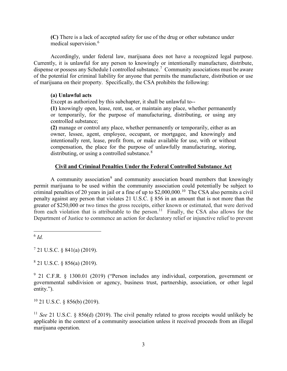**(C)** There is a lack of accepted safety for use of the drug or other substance under medical supervision.<sup>[6](#page-15-0)</sup>

Accordingly, under federal law, marijuana does not have a recognized legal purpose. Currently, it is unlawful for any person to knowingly or intentionally manufacture, distribute, dispense or possess any Schedule I controlled substance.<sup>[7](#page-15-1)</sup> Community associations must be aware of the potential for criminal liability for anyone that permits the manufacture, distribution or use of marijuana on their property. Specifically, the CSA prohibits the following:

#### **(a) Unlawful acts**

Except as authorized by this subchapter, it shall be unlawful to--

**(1)** knowingly open, lease, rent, use, or maintain any place, whether permanently or temporarily, for the purpose of manufacturing, distributing, or using any controlled substance;

**(2)** manage or control any place, whether permanently or temporarily, either as an owner, lessee, agent, employee, occupant, or mortgagee, and knowingly and intentionally rent, lease, profit from, or make available for use, with or without compensation, the place for the purpose of unlawfully manufacturing, storing, distributing, or using a controlled substance. $8$ 

#### **Civil and Criminal Penalties Under the Federal Controlled Substance Act**

A community association<sup>[9](#page-15-3)</sup> and community association board members that knowingly permit marijuana to be used within the community association could potentially be subject to criminal penalties of 20 years in jail or a fine of up to  $$2,000,000$ .<sup>10</sup> The CSA also permits a civil penalty against any person that violates 21 U.S.C. § 856 in an amount that is not more than the greater of \$250,000 or two times the gross receipts, either known or estimated, that were derived from each violation that is attributable to the person.<sup>[11](#page-15-5)</sup> Finally, the CSA also allows for the Department of Justice to commence an action for declaratory relief or injunctive relief to prevent

<span id="page-15-0"></span> $6$   $Id$ 

 $\overline{a}$ 

<span id="page-15-1"></span> $7$  21 U.S.C. § 841(a) (2019).

<span id="page-15-2"></span> $8$  21 U.S.C. § 856(a) (2019).

<span id="page-15-3"></span><sup>9</sup> 21 C.F.R. § 1300.01 (2019) ("Person includes any individual, corporation, government or governmental subdivision or agency, business trust, partnership, association, or other legal entity.").

<span id="page-15-4"></span> $10$  21 U.S.C. § 856(b) (2019).

<span id="page-15-5"></span><sup>11</sup> *See* 21 U.S.C. § 856(d) (2019). The civil penalty related to gross receipts would unlikely be applicable in the context of a community association unless it received proceeds from an illegal marijuana operation.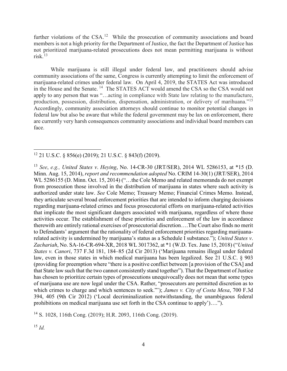further violations of the CSA.<sup>12</sup> While the prosecution of community associations and board members is not a high priority for the Department of Justice, the fact the Department of Justice has not prioritized marijuana-related prosecutions does not mean permitting marijuana is without risk. [13](#page-16-1) 

While marijuana is still illegal under federal law, and practitioners should advise community associations of the same, Congress is currently attempting to limit the enforcement of marijuana-related crimes under federal law. On April 4, 2019, the STATES Act was introduced in the House and the Senate. [14](#page-16-2) The STATES ACT would amend the CSA so the CSA would not apply to any person that was "…acting in compliance with State law relating to the manufacture, production, possession, distribution, dispensation, administration, or delivery of marihuana."[15](#page-16-3) Accordingly, community association attorneys should continue to monitor potential changes in federal law but also be aware that while the federal government may be lax on enforcement, there are currently very harsh consequences community associations and individual board members can face.

<span id="page-16-2"></span><sup>14</sup> S. 1028, 116th Cong. (2019); H.R. 2093, 116th Cong. (2019).

<span id="page-16-3"></span><sup>15</sup> *Id.*

<span id="page-16-0"></span> $\overline{a}$ 12 21 U.S.C. § 856(e) (2019); 21 U.S.C. § 843(f) (2019).

<span id="page-16-1"></span><sup>13</sup> *See*, *e.g., United States v*. *Heying*, No. 14-CR-30 (JRT/SER), 2014 WL 5286153, at \*15 (D. Minn. Aug. 15, 2014), *report and recommendation adopted* No. CRIM 14-30(1) (JRT/SER), 2014 WL 5286155 (D. Minn. Oct. 15, 2014) ("...the Cole Memo and related memoranda do not exempt from prosecution those involved in the distribution of marijuana in states where such activity is authorized under state law. *See* Cole Memo; Treasury Memo; Financial Crimes Memo. Instead, they articulate several broad enforcement priorities that are intended to inform charging decisions regarding marijuana-related crimes and focus prosecutorial efforts on marijuana-related activities that implicate the most significant dangers associated with marijuana, regardless of where those activities occur. The establishment of these priorities and enforcement of the law in accordance therewith are entirely rational exercises of prosecutorial discretion….The Court also finds no merit to Defendants' argument that the rationality of federal enforcement priorities regarding marijuanarelated activity is undermined by marijuana's status as a Schedule I substance."); *United States v*. *Zachariah*, No. SA-16-CR-694-XR, 2018 WL 3017362, at \*1 (W.D. Tex. June 15, 2018) ("*United States v. Canori*, 737 F.3d 181, 184–85 (2d Cir 2013) ('Marijuana remains illegal under federal law, even in those states in which medical marijuana has been legalized. See 21 U.S.C. § 903 (providing for preemption where "there is a positive conflict between [a provision of the CSA] and that State law such that the two cannot consistently stand together"). That the Department of Justice has chosen to prioritize certain types of prosecutions unequivocally does not mean that some types of marijuana use are now legal under the CSA. Rather, "prosecutors are permitted discretion as to which crimes to charge and which sentences to seek."'); *James v. City of Costa Mesa*, 700 F.3d 394, 405 (9th Cir 2012) ('Local decriminalization notwithstanding, the unambiguous federal prohibitions on medical marijuana use set forth in the CSA continue to apply')….").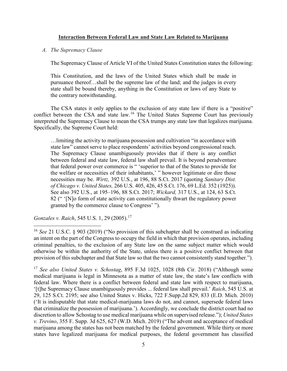#### **Interaction Between Federal Law and State Law Related to Marijuana**

#### *A. The Supremacy Clause*

The Supremacy Clause of Article VI of the United States Constitution states the following:

This Constitution, and the laws of the United States which shall be made in pursuance thereof…shall be the supreme law of the land; and the judges in every state shall be bound thereby, anything in the Constitution or laws of any State to the contrary notwithstanding.

The CSA states it only applies to the exclusion of any state law if there is a "positive" conflict between the CSA and state law.<sup>16</sup> The United States Supreme Court has previously interpreted the Supremacy Clause to mean the CSA trumps any state law that legalizes marijuana. Specifically, the Supreme Court held:

…limiting the activity to marijuana possession and cultivation "in accordance with state law" cannot serve to place respondents' activities beyond congressional reach. The Supremacy Clause unambiguously provides that if there is any conflict between federal and state law, federal law shall prevail. It is beyond peradventure that federal power over commerce is " 'superior to that of the States to provide for the welfare or necessities of their inhabitants,' " however legitimate or dire those necessities may be. *Wirtz,* 392 U.S., at 196, 88 S.Ct. 2017 (quoting *Sanitary Dist. of Chicago v. United States,* 266 U.S. 405, 426, 45 S.Ct. 176, 69 L.Ed. 352 (1925)). See also 392 U.S., at 195–196, 88 S.Ct. 2017; *Wickard,* 317 U.S., at 124, 63 S.Ct. 82 (" '[N]o form of state activity can constitutionally thwart the regulatory power granted by the commerce clause to Congress' ").

*Gonzales v. Raich, 545 U.S. 1, 29 (2005).*<sup>[17](#page-17-1)</sup>

<span id="page-17-0"></span><sup>&</sup>lt;sup>16</sup> See 21 U.S.C. § 903 (2019) ("No provision of this subchapter shall be construed as indicating an intent on the part of the Congress to occupy the field in which that provision operates, including criminal penalties, to the exclusion of any State law on the same subject matter which would otherwise be within the authority of the State, unless there is a positive conflict between that provision of this subchapter and that State law so that the two cannot consistently stand together.").

<span id="page-17-1"></span><sup>17</sup> *See also United States v. Schostag*, 895 F.3d 1025, 1028 (8th Cir. 2018) ("Although some medical marijuana is legal in Minnesota as a matter of state law, the state's law conflicts with federal law. Where there is a conflict between federal and state law with respect to marijuana, '[t]he Supremacy Clause unambiguously provides ... federal law shall prevail.' *Raich*, 545 U.S. at 29, 125 S.Ct. 2195; see also United States v. Hicks, 722 F.Supp.2d 829, 833 (E.D. Mich. 2010) ('It is indisputable that state medical-marijuana laws do not, and cannot, supersede federal laws that criminalize the possession of marijuana.'). Accordingly, we conclude the district court had no discretion to allow Schostag to use medical marijuana while on supervised release."); *United States v. Trevino*, 355 F. Supp. 3d 625, 627 (W.D. Mich. 2019) ("The advent and acceptance of medical marijuana among the states has not been matched by the federal government. While thirty or more states have legalized marijuana for medical purposes, the federal government has classified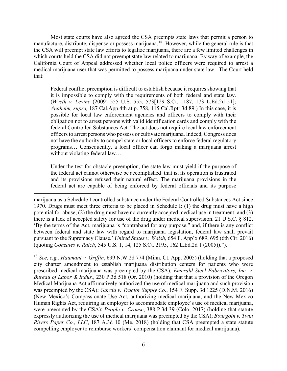Most state courts have also agreed the CSA preempts state laws that permit a person to manufacture, distribute, dispense or possess marijuana.<sup>[18](#page-18-0)</sup> However, while the general rule is that the CSA will preempt state law efforts to legalize marijuana, there are a few limited challenges in which courts held the CSA did not preempt state law related to marijuana. By way of example, the California Court of Appeal addressed whether local police officers were required to arrest a medical marijuana user that was permitted to possess marijuana under state law. The Court held that:

Federal conflict preemption is difficult to establish because it requires showing that it is impossible to comply with the requirements of both federal and state law. (*Wyeth v. Levine* (2009) 555 U.S. 555, 573[129 S.Ct. 1187, 173 L.Ed.2d 51]; *Anaheim, supra,* 187 Cal.App.4th at p. 758, 115 Cal.Rptr.3d 89.) In this case, it is possible for local law enforcement agencies and officers to comply with their obligation not to arrest persons with valid identification cards and comply with the federal Controlled Substances Act. The act does not require local law enforcement officers to arrest persons who possess or cultivate marijuana. Indeed, Congress does not have the authority to compel state or local officers to enforce federal regulatory programs… Consequently, a local officer can forgo making a marijuana arrest without violating federal law….

Under the test for obstacle preemption, the state law must yield if the purpose of the federal act cannot otherwise be accomplished–that is, its operation is frustrated and its provisions refused their natural effect. The marijuana provisions in the federal act are capable of being enforced by federal officials and its purpose

 $\overline{a}$ 

<span id="page-18-0"></span><sup>18</sup> *See*, *e.g.*, *Haumant v. Griffin*, 699 N.W.2d 774 (Minn. Ct. App. 2005) (holding that a proposed city charter amendment to establish marijuana distribution centers for patients who were prescribed medical marijuana was preempted by the CSA); *Emerald Steel Fabricators, Inc. v. Bureau of Labor & Indus.*, 230 P.3d 518 (Or. 2010) (holding that that a provision of the Oregon Medical Marijuana Act affirmatively authorized the use of medical marijuana and such provision was preempted by the CSA); *Garcia v. Tractor Supply Co.*, 154 F. Supp. 3d 1225 (D.N.M. 2016) (New Mexico's Compassionate Use Act, authorizing medical marijuana, and the New Mexico Human Rights Act, requiring an employer to accommodate employee's use of medical marijuana, were preempted by the CSA); *People v. Crouse*, 388 P.3d 39 (Colo. 2017) (holding that statute expressly authorizing the use of medical marijuana was preempted by the CSA); *Bourgoin v. Twin Rivers Paper Co., LLC*, 187 A.3d 10 (Me. 2018) (holding that CSA preempted a state statute compelling employer to reimburse workers' compensation claimant for medical marijuana).

marijuana as a Schedule I controlled substance under the Federal Controlled Substances Act since 1970. Drugs must meet three criteria to be placed in Schedule I: (1) the drug must have a high potential for abuse; (2) the drug must have no currently accepted medical use in treatment; and (3) there is a lack of accepted safety for use of the drug under medical supervision. 21 U.S.C. § 812. 'By the terms of the Act, marijuana is "contraband for any purpose," and, if there is any conflict between federal and state law with regard to marijuana legislation, federal law shall prevail pursuant to the Supremacy Clause.' *United States v. Walsh*, 654 F. App'x 689, 695 (6th Cir. 2016) (quoting *Gonzales v. Raich*, 545 U.S. 1, 14, 125 S.Ct. 2195, 162 L.Ed.2d 1 (2005)).").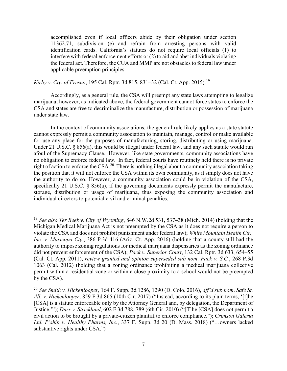accomplished even if local officers abide by their obligation under section 11362.71, subdivision (e) and refrain from arresting persons with valid identification cards. California's statutes do not require local officials (1) to interfere with federal enforcement efforts or (2) to aid and abet individuals violating the federal act. Therefore, the CUA and MMP are not obstacles to federal law under applicable preemption principles.

*Kirby v*. *Cty. of Fresno*, 195 Cal. Rptr. 3d 815, 831–32 (Cal. Ct. App. 2015).[19](#page-19-0)

 $\overline{a}$ 

Accordingly, as a general rule, the CSA will preempt any state laws attempting to legalize marijuana; however, as indicated above, the federal government cannot force states to enforce the CSA and states are free to decriminalize the manufacture, distribution or possession of marijuana under state law.

In the context of community associations, the general rule likely applies as a state statute cannot expressly permit a community association to maintain, manage, control or make available for use any place for the purposes of manufacturing, storing, distributing or using marijuana. Under 21 U.S.C. § 856(a), this would be illegal under federal law, and any such statute would run afoul of the Supremacy Clause. However, like state governments, community associations have no obligation to enforce federal law. In fact, federal courts have routinely held there is no private right of action to enforce the  $CSA<sup>20</sup>$  $CSA<sup>20</sup>$  $CSA<sup>20</sup>$ . There is nothing illegal about a community association taking the position that it will not enforce the CSA within its own community, as it simply does not have the authority to do so. However, a community association could be in violation of the CSA, specifically 21 U.S.C.  $\S$  856(a), if the governing documents expressly permit the manufacture, storage, distribution or usage of marijuana, thus exposing the community association and individual directors to potential civil and criminal penalties.

<span id="page-19-0"></span><sup>19</sup> *See also Ter Beek v. City of Wyoming*, 846 N.W.2d 531, 537–38 (Mich. 2014) (holding that the Michigan Medical Marijuana Act is not preempted by the CSA as it does not require a person to violate the CSA and does not prohibit punishment under federal law); *White Mountain Health Ctr., Inc. v. Maricopa Cty.*, 386 P.3d 416 (Ariz. Ct. App. 2016) (holding that a county still had the authority to impose zoning regulations for medical marijuana dispensaries as the zoning ordinance did not prevent enforcement of the CSA); *Pack v. Superior Court*, 132 Cal. Rptr. 3d 633, 654–55 (Cal. Ct. App. 2011), *review granted and opinion superseded sub nom*. *Pack v. S.C.*, 268 P.3d 1063 (Cal. 2012) (holding that a zoning ordinance prohibiting a medical marijuana collective permit within a residential zone or within a close proximity to a school would not be preempted by the CSA).

<span id="page-19-1"></span><sup>20</sup> *See Smith v. Hickenlooper*, 164 F. Supp. 3d 1286, 1290 (D. Colo. 2016), *aff'd sub nom*. *Safe St. All. v. Hickenlooper*, 859 F.3d 865 (10th Cir. 2017) ("Instead, according to its plain terms, '[t]he [CSA] is a statute enforceable only by the Attorney General and, by delegation, the Department of Justice.'"); *Durr v. Strickland*, 602 F.3d 788, 789 (6th Cir. 2010) ("[T]he [CSA] does not permit a civil action to be brought by a private-citizen plaintiff to enforce compliance."); *Crimson Galeria Ltd. P'ship v. Healthy Pharms, Inc.*, 337 F. Supp. 3d 20 (D. Mass. 2018) ("…owners lacked substantive rights under CSA.")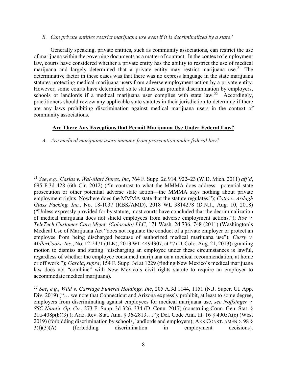#### *B. Can private entities restrict marijuana use even if it is decriminalized by a state?*

Generally speaking, private entities, such as community associations, can restrict the use of marijuana within the governing documents as a matter of contract. In the context of employment law, courts have considered whether a private entity has the ability to restrict the use of medical marijuana and largely determined that a private entity may restrict marijuana use.<sup>[21](#page-20-0)</sup> The determinative factor in these cases was that there was no express language in the state marijuana statutes protecting medical marijuana users from adverse employment action by a private entity. However, some courts have determined state statutes can prohibit discrimination by employers, schools or landlords if a medical marijuana user complies with state law.<sup>22</sup> Accordingly, practitioners should review any applicable state statutes in their jurisdiction to determine if there are any laws prohibiting discrimination against medical marijuana users in the context of community associations.

#### **Are There Any Exceptions that Permit Marijuana Use Under Federal Law?**

*A. Are medical marijuana users immune from prosecution under federal law?* 

<span id="page-20-0"></span><sup>21</sup> *See*, *e.g.*, *Casias v. Wal-Mart Stores, Inc*, 764 F. Supp. 2d 914, 922–23 (W.D. Mich. 2011) *aff'd*, 695 F.3d 428 (6th Cir. 2012) ("In contrast to what the MMMA does address—potential state prosecution or other potential adverse state action—the MMMA says nothing about private employment rights. Nowhere does the MMMA state that the statute regulates."); *Cotto v. Ardagh Glass Packing, Inc.*, No. 18-1037 (RBK/AMD), 2018 WL 3814278 (D.N.J., Aug. 10, 2018) ("Unless expressly provided for by statute, most courts have concluded that the decriminalization of medical marijuana does not shield employees from adverse employment actions."); *Roe v. TeleTech Customer Care Mgmt. (Colorado) LLC*, 171 Wash. 2d 736, 748 (2011) (Washington's Medical Use of Marijuana Act "does not regulate the conduct of a private employer or protect an employee from being discharged because of authorized medical marijuana use"); *Curry v. MillerCoors, Inc.*, No. 12-2471 (JLK), 2013 WL 4494307, at \*7 (D. Colo. Aug. 21, 2013) (granting motion to dismiss and stating "discharging an employee under these circumstances is lawful, regardless of whether the employee consumed marijuana on a medical recommendation, at home or off work."); *Garcia*, *supra*, 154 F. Supp. 3d at 1229 (finding New Mexico's medical marijuana law does not "combine" with New Mexico's civil rights statute to require an employer to accommodate medical marijuana).

<span id="page-20-1"></span><sup>22</sup> *See*, *e.g.*, *Wild v*. *Carriage Funeral Holdings, Inc*, 205 A.3d 1144, 1151 (N.J. Super. Ct. App. Div. 2019) ("... we note that Connecticut and Arizona expressly prohibit, at least to some degree, employers from discriminating against employees for medical marijuana use, *see Noffsinger v. SSC Niantic Op. Co.*, 273 F. Supp. 3d 326, 334 (D. Conn. 2017) (construing Conn. Gen. Stat. § 21a-408p(b)(3) ); Ariz. Rev. Stat. Ann. § 36-2813…."); Del. Code Ann. tit. 16 § 4905A(c) (West 2019) (forbidding discrimination by schools, landlords and employers); ARK CONST. AMEND. 98 § 3(f)(3)(A) (forbidding discrimination in employment decisions).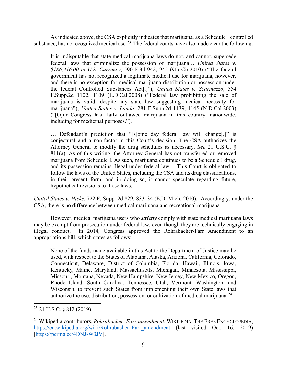As indicated above, the CSA explicitly indicates that marijuana, as a Schedule I controlled substance, has no recognized medical use.<sup>23</sup> The federal courts have also made clear the following:

It is indisputable that state medical-marijuana laws do not, and cannot, supersede federal laws that criminalize the possession of marijuana… *United States v. \$186,416.00 in U.S. Currency*, 590 F.3d 942, 945 (9th Cir.2010) ("The federal government has not recognized a legitimate medical use for marijuana, however, and there is no exception for medical marijuana distribution or possession under the federal Controlled Substances Act[.]"); *United States v. Scarmazzo*, 554 F.Supp.2d 1102, 1109 (E.D.Cal.2008) ("Federal law prohibiting the sale of marijuana is valid, despite any state law suggesting medical necessity for marijuana"); *United States v. Landa*, 281 F.Supp.2d 1139, 1145 (N.D.Cal.2003) ("[O]ur Congress has flatly outlawed marijuana in this country, nationwide, including for medicinal purposes.").

… Defendant's prediction that "[s]ome day federal law will change[,]" is conjectural and a non-factor in this Court's decision. The CSA authorizes the Attorney General to modify the drug schedules as necessary. *See* 21 U.S.C. § 811(a). As of this writing, the Attorney General has not transferred or removed marijuana from Schedule I. As such, marijuana continues to be a Schedule I drug, and its possession remains illegal under federal law… This Court is obligated to follow the laws of the United States, including the CSA and its drug classifications, in their present form, and in doing so, it cannot speculate regarding future, hypothetical revisions to those laws.

*United States v. Hicks*, 722 F. Supp. 2d 829, 833–34 (E.D. Mich. 2010). Accordingly, under the CSA, there is no difference between medical marijuana and recreational marijuana.

However, medical marijuana users who *strictly* comply with state medical marijuana laws may be exempt from prosecution under federal law, even though they are technically engaging in illegal conduct. In 2014, Congress approved the Rohrabacher-Farr Amendment to an appropriations bill, which states as follows:

None of the funds made available in this Act to the Department of Justice may be used, with respect to the States of Alabama, Alaska, Arizona, California, Colorado, Connecticut, Delaware, District of Columbia, Florida, Hawaii, Illinois, Iowa, Kentucky, Maine, Maryland, Massachusetts, Michigan, Minnesota, Mississippi, Missouri, Montana, Nevada, New Hampshire, New Jersey, New Mexico, Oregon, Rhode Island, South Carolina, Tennessee, Utah, Vermont, Washington, and Wisconsin, to prevent such States from implementing their own State laws that authorize the use, distribution, possession, or cultivation of medical marijuana.<sup>[24](#page-21-1)</sup>

<span id="page-21-0"></span><sup>&</sup>lt;sup>23</sup> 21 U.S.C. § 812 (2019).

<span id="page-21-1"></span><sup>24</sup> Wikipedia contributors, *Rohrabacher–Farr amendment*, WIKIPEDIA, THE FREE ENCYCLOPEDIA, [https://en.wikipedia.org/wiki/Rohrabacher–Farr\\_amendment](https://en.wikipedia.org/wiki/Rohrabacher%E2%80%93Farr_amendment) (last visited Oct. 16, 2019) [\[https://perma.cc/4DNJ-W3JV\]](https://perma.cc/4DNJ-W3JV).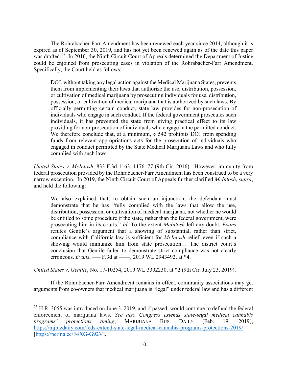The Rohrabacher-Farr Amendment has been renewed each year since 2014, although it is expired as of September 30, 2019, and has not yet been renewed again as of the date this paper was drafted.<sup>[25](#page-22-0)</sup> In 2016, the Ninth Circuit Court of Appeals determined the Department of Justice could be enjoined from prosecuting cases in violation of the Rohrabacher-Farr Amendment. Specifically, the Court held as follows:

DOJ, without taking any legal action against the Medical Marijuana States, prevents them from implementing their laws that authorize the use, distribution, possession, or cultivation of medical marijuana by prosecuting individuals for use, distribution, possession, or cultivation of medical marijuana that is authorized by such laws. By officially permitting certain conduct, state law provides for non-prosecution of individuals who engage in such conduct. If the federal government prosecutes such individuals, it has prevented the state from giving practical effect to its law providing for non-prosecution of individuals who engage in the permitted conduct. We therefore conclude that, at a minimum,  $\S$  542 prohibits DOJ from spending funds from relevant appropriations acts for the prosecution of individuals who engaged in conduct permitted by the State Medical Marijuana Laws and who fully complied with such laws.

*United States v*. *McIntosh*, 833 F.3d 1163, 1176–77 (9th Cir. 2016). However, immunity from federal prosecution provided by the Rohrabacher-Farr Amendment has been construed to be a very narrow exception. In 2019, the Ninth Circuit Court of Appeals further clarified *McIntosh*, *supra*, and held the following:

We also explained that, to obtain such an injunction, the defendant must demonstrate that he has "fully complied with the laws that allow the use, distribution, possession, or cultivation of medical marijuana, not whether he would be entitled to some procedure if the state, rather than the federal government, were prosecuting him in its courts." *Id.* To the extent *McIntosh* left any doubt, *Evans* refutes Gentile's argument that a showing of substantial, rather than strict, compliance with California law is sufficient for *McIntosh* relief, even if such a showing would immunize him from state prosecution… The district court's conclusion that Gentile failed to demonstrate strict compliance was not clearly erroneous. *Evans*, — F.3d at — , 2019 WL 2943492, at \*4.

*United States v*. *Gentile*, No. 17-10254, 2019 WL 3302230, at \*2 (9th Cir. July 23, 2019).

 $\overline{a}$ 

If the Rohrabacher-Farr Amendment remains in effect, community associations may get arguments from co-owners that medical marijuana is "legal" under federal law and has a different

<span id="page-22-0"></span> $25$  H.R. 3055 was introduced on June 3, 2019, and if passed, would continue to defund the federal enforcement of marijuana laws. *See also Congress extends state-legal medical cannabis programs' protections timing*, MARIJUANA BUS. DAILY (Feb. 19, 2019), <https://mjbizdaily.com/feds-extend-state-legal-medical-cannabis-programs-protections-2019/> [https://perma.cc/F4XG-G92V].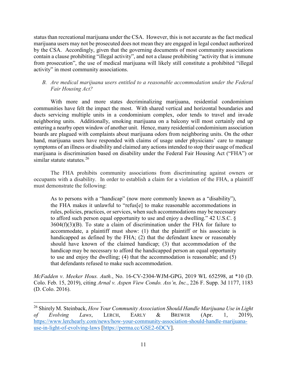status than recreational marijuana under the CSA. However, this is not accurate as the fact medical marijuana users may not be prosecuted does not mean they are engaged in legal conduct authorized by the CSA. Accordingly, given that the governing documents of most community associations contain a clause prohibiting "illegal activity", and not a clause prohibiting "activity that is immune from prosecution", the use of medical marijuana will likely still constitute a prohibited "illegal activity" in most community associations.

# *B. Are medical marijuana users entitled to a reasonable accommodation under the Federal Fair Housing Act?*

With more and more states decriminalizing marijuana, residential condominium communities have felt the impact the most. With shared vertical and horizontal boundaries and ducts servicing multiple units in a condominium complex, odor tends to travel and invade neighboring units. Additionally, smoking marijuana on a balcony will most certainly end up entering a nearby open window of another unit. Hence, many residential condominium association boards are plagued with complaints about marijuana odors from neighboring units. On the other hand, marijuana users have responded with claims of usage under physicians' care to manage symptoms of an illness or disability and claimed any actions intended to stop their usage of medical marijuana is discrimination based on disability under the Federal Fair Housing Act ("FHA") or similar statute statutes.<sup>[26](#page-23-0)</sup>

The FHA prohibits community associations from discriminating against owners or occupants with a disability. In order to establish a claim for a violation of the FHA, a plaintiff must demonstrate the following:

As to persons with a "handicap" (now more commonly known as a "disability"), the FHA makes it unlawful to "refus[e] to make reasonable accommodations in rules, policies, practices, or services, when such accommodations may be necessary to afford such person equal opportunity to use and enjoy a dwelling." 42 U.S.C. § 3604(f)(3)(B). To state a claim of discrimination under the FHA for failure to accommodate, a plaintiff must show: (1) that the plaintiff or his associate is handicapped as defined by the FHA; (2) that the defendant knew or reasonably should have known of the claimed handicap; (3) that accommodation of the handicap may be necessary to afford the handicapped person an equal opportunity to use and enjoy the dwelling; (4) that the accommodation is reasonable; and (5) that defendants refused to make such accommodation.

*McFadden v*. *Meeker Hous. Auth.*, No. 16-CV-2304-WJM-GPG, 2019 WL 652598, at \*10 (D. Colo. Feb. 15, 2019), citing *Arnal v. Aspen View Condo. Ass'n, Inc.*, 226 F. Supp. 3d 1177, 1183 (D. Colo. 2016).

<span id="page-23-0"></span><sup>26</sup> Shirely M. Steinback, *How Your Community Association Should Handle Marijuana Use in Light of Evolving Laws*, LERCH, EARLY & BREWER (Apr. 1, 2019), [https://www.lerchearly.com/news/how-your-community-association-should-handle-marijuana](https://www.lerchearly.com/news/how-your-community-association-should-handle-marijuana-use-in-light-of-evolving-laws)[use-in-light-of-evolving-laws](https://www.lerchearly.com/news/how-your-community-association-should-handle-marijuana-use-in-light-of-evolving-laws) [\[https://perma.cc/GSE2-6DCV\]](https://perma.cc/GSE2-6DCV).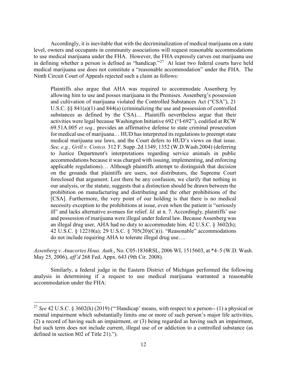Accordingly, it is inevitable that with the decriminalization of medical marijuana on a state level, owners and occupants in community associations will request reasonable accommodations to use medical marijuana under the FHA. However, the FHA expressly carves out marijuana use in defining whether a person is defined as "handicap."[27](#page-24-0) At least two federal courts have held medical marijuana use does not constitute a "reasonable accommodation" under the FHA. The Ninth Circuit Court of Appeals rejected such a claim as follows:

Plaintiffs also argue that AHA was required to accommodate Assenberg by allowing him to use and posses marijuana in the Premises. Assenberg's possession and cultivation of marijuana violated the Controlled Substances Act ("CSA"), 21 U.S.C. §§ 841(a)(1) and 844(a) (criminalizing the use and possession of controlled substances as defined by the CSA)… Plaintiffs nevertheless argue that their activities were legal because Washington Initiative 692 ("I-692"), codified at RCW 69.51A.005 *et seq.,* provides an affirmative defense to state criminal prosecution for medical use of marijuana… HUD has interpreted its regulations to preempt state medical marijuana use laws, and the Court defers to HUD's views on that issue. *See, e.g., Grill v. Costco,* 312 F. Supp .2d 1349, 1352 (W.D.Wash.2004) (deferring to Justice Department's interpretations regarding service animals in public accommodations because it was charged with issuing, implementing, and enforcing applicable regulations)… Although plaintiffs attempt to distinguish that decision on the grounds that plaintiffs are users, not distributors, the Supreme Court foreclosed that argument: Lest there be any confusion, we clarify that nothing in our analysis, or the statute, suggests that a distinction should be drawn between the prohibition on manufacturing and distributing and the other prohibitions of the [CSA]. Furthermore, the very point of our holding is that there is no medical necessity exception to the prohibitions at issue, even when the patient is "seriously ill" and lacks alternative avenues for relief. *Id.* at n. 7. Accordingly, plaintiffs' use and possession of marijuana were illegal under federal law. Because Assenberg was an illegal drug user, AHA had no duty to accommodate him.  $42 \text{ U.S.C. }$  § 3602(h); 42 U.S.C. § 12210(a); 29 U.S.C. § 705(20)(C)(i). "Reasonable" accommodations do not include requiring AHA to tolerate illegal drug use….

*Assenberg v*. *Anacortes Hous. Auth*., No. C05-1836RSL, 2006 WL 1515603, at \*4–5 (W.D. Wash. May 25, 2006), *aff'd* 268 Fed. Appx. 643 (9th Cir. 2008).

Similarly, a federal judge in the Eastern District of Michigan performed the following analysis in determining if a request to use medical marijuana warranted a reasonable accommodation under the FHA:

<span id="page-24-0"></span><sup>27</sup> *See* 42 U.S.C. § 3602(h) (2019) ("'Handicap' means, with respect to a person-- (1) a physical or mental impairment which substantially limits one or more of such person's major life activities, (2) a record of having such an impairment, or (3) being regarded as having such an impairment, but such term does not include current, illegal use of or addiction to a controlled substance (as defined in section 802 of Title 21).").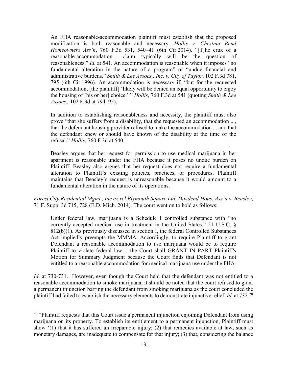An FHA reasonable-accommodation plaintiff must establish that the proposed modification is both reasonable and necessary. *Hollis v. Chestnut Bend Homeowners Ass'n*, 760 F.3d 531, 540–41 (6th Cir.2014). "[T]he crux of a reasonable-accommodation... claim typically will be the question of reasonableness." *Id.* at 541. An accommodation is reasonable when it imposes "no fundamental alteration in the nature of a program" or "undue financial and administrative burdens." *Smith & Lee Assocs., Inc. v. City of Taylor*, 102 F.3d 781, 795 (6th Cir.1996). An accommodation is necessary if, "but for the requested accommodation, [the plaintiff] 'likely will be denied an equal opportunity to enjoy the housing of [his or her] choice.' " *Hollis*, 760 F.3d at 541 (quoting *Smith & Lee Assocs.,* 102 F.3d at 794–95).

In addition to establishing reasonableness and necessity, the plaintiff must also prove "that she suffers from a disability, that she requested an accommodation ..., that the defendant housing provider refused to make the accommodation ... and that the defendant knew or should have known of the disability at the time of the refusal." *Hollis*, 760 F.3d at 540.

Beasley argues that her request for permission to use medical marijuana in her apartment is reasonable under the FHA because it poses no undue burden on Plaintiff. Beasley also argues that her request does not require a fundamental alteration to Plaintiff's existing policies, practices, or procedures. Plaintiff maintains that Beasley's request is unreasonable because it would amount to a fundamental alteration in the nature of its operations.

*Forest City Residential Mgmt., Inc ex rel Plymouth Square Ltd. Dividend Hous. Ass'n v*. *Beasley*, 71 F. Supp. 3d 715, 728 (E.D. Mich. 2014). The court went on to hold as follows:

Under federal law, marijuana is a Schedule I controlled substance with "no currently accepted medical use in treatment in the United States." 21 U.S.C. § 812(b)(1). As previously discussed in section I, the federal Controlled Substances Act impliedly preempts the MMMA. Accordingly, to require Plaintiff to grant Defendant a reasonable accommodation to use marijuana would be to require Plaintiff to violate federal law… the Court shall GRANT IN PART Plaintiff's Motion for Summary Judgment because the Court finds that Defendant is not entitled to a reasonable accommodation for medical marijuana use under the FHA.

*Id.* at 730-731. However, even though the Court held that the defendant was not entitled to a reasonable accommodation to smoke marijuana, it should be noted that the court refused to grant a permanent injunction barring the defendant from smoking marijuana as the court concluded the plaintiff had failed to establish the necessary elements to demonstrate injunctive relief. *Id.* at 732.[28](#page-25-0)

<span id="page-25-0"></span><sup>&</sup>lt;sup>28</sup> "Plaintiff requests that this Court issue a permanent injunction enjoining Defendant from using marijuana on its property. To establish its entitlement to a permanent injunction, Plaintiff must show '(1) that it has suffered an irreparable injury; (2) that remedies available at law, such as monetary damages, are inadequate to compensate for that injury; (3) that, considering the balance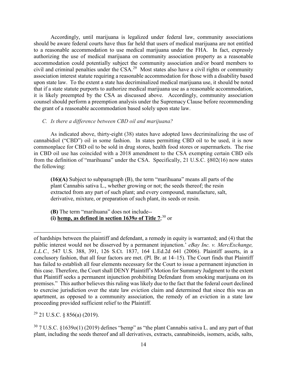Accordingly, until marijuana is legalized under federal law, community associations should be aware federal courts have thus far held that users of medical marijuana are not entitled to a reasonable accommodation to use medical marijuana under the FHA. In fact, expressly authorizing the use of medical marijuana on community association property as a reasonable accommodation could potentially subject the community association and/or board members to civil and criminal penalties under the CSA.[29](#page-26-0) Most states also have a civil rights or community association interest statute requiring a reasonable accommodation for those with a disability based upon state law. To the extent a state has decriminalized medical marijuana use, it should be noted that if a state statute purports to authorize medical marijuana use as a reasonable accommodation, it is likely preempted by the CSA as discussed above. Accordingly, community association counsel should perform a preemption analysis under the Supremacy Clause before recommending the grant of a reasonable accommodation based solely upon state law.

#### *C. Is there a difference between CBD oil and marijuana?*

As indicated above, thirty-eight (38) states have adopted laws decriminalizing the use of cannabidiol ("CBD") oil in some fashion. In states permitting CBD oil to be used, it is now commonplace for CBD oil to be sold in drug stores, health food stores or supermarkets. The rise in CBD oil use has coincided with a 2018 amendment to the CSA exempting certain CBD oils from the definition of "marihuana" under the CSA. Specifically, 21 U.S.C. §802(16) now states the following:

**(16)(A)** Subject to subparagraph (B), the term "marihuana" means all parts of the plant Cannabis sativa L., whether growing or not; the seeds thereof; the resin extracted from any part of such plant; and every compound, manufacture, salt, derivative, mixture, or preparation of such plant, its seeds or resin.

**(B)** The term "marihuana" does not include-- **(i) hemp, as defined in section**  $1639*o*$  **of Title**  $7$ **;<sup>[30](#page-26-1)</sup> or** 

<span id="page-26-0"></span> $29$  21 U.S.C. § 856(a) (2019).

of hardships between the plaintiff and defendant, a remedy in equity is warranted; and (4) that the public interest would not be disserved by a permanent injunction.' *eBay Inc. v. MercExchange, L.L.C.,* 547 U.S. 388, 391, 126 S.Ct. 1837, 164 L.Ed.2d 641 (2006). Plaintiff asserts, in a conclusory fashion, that all four factors are met. (Pl. Br. at 14–15). The Court finds that Plaintiff has failed to establish all four elements necessary for the Court to issue a permanent injunction in this case. Therefore, the Court shall DENY Plaintiff's Motion for Summary Judgment to the extent that Plaintiff seeks a permanent injunction prohibiting Defendant from smoking marijuana on its premises." This author believes this ruling was likely due to the fact that the federal court declined to exercise jurisdiction over the state law eviction claim and determined that since this was an apartment, as opposed to a community association, the remedy of an eviction in a state law proceeding provided sufficient relief to the Plaintiff.

<span id="page-26-1"></span><sup>30</sup> 7 U.S.C. §1639o(1) (2019) defines "hemp" as "the plant Cannabis sativa L. and any part of that plant, including the seeds thereof and all derivatives, extracts, cannabinoids, isomers, acids, salts,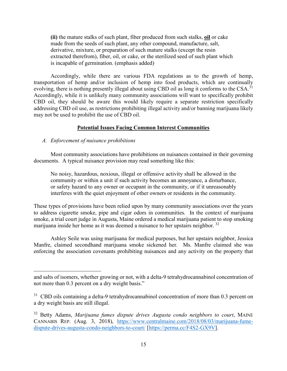**(ii)** the mature stalks of such plant, fiber produced from such stalks, **oil** or cake made from the seeds of such plant, any other compound, manufacture, salt, derivative, mixture, or preparation of such mature stalks (except the resin extracted therefrom), fiber, oil, or cake, or the sterilized seed of such plant which is incapable of germination. (emphasis added)

Accordingly, while there are various FDA regulations as to the growth of hemp, transportation of hemp and/or inclusion of hemp into food products, which are continually evolving, there is nothing presently illegal about using CBD oil as long it conforms to the CSA.<sup>[31](#page-27-0)</sup> Accordingly, while it is unlikely many community associations will want to specifically prohibit CBD oil, they should be aware this would likely require a separate restriction specifically addressing CBD oil use, as restrictions prohibiting illegal activity and/or banning marijuana likely may not be used to prohibit the use of CBD oil.

#### **Potential Issues Facing Common Interest Communities**

#### *A. Enforcement of nuisance prohibitions*

 $\overline{a}$ 

Most community associations have prohibitions on nuisances contained in their governing documents. A typical nuisance provision may read something like this:

No noisy, hazardous, noxious, illegal or offensive activity shall be allowed in the community or within a unit if such activity becomes an annoyance, a disturbance, or safety hazard to any owner or occupant in the community, or if it unreasonably interferes with the quiet enjoyment of other owners or residents in the community.

These types of provisions have been relied upon by many community associations over the years to address cigarette smoke, pipe and cigar odors in communities. In the context of marijuana smoke, a trial court judge in Augusta, Maine ordered a medical marijuana patient to stop smoking marijuana inside her home as it was deemed a nuisance to her upstairs neighbor.<sup>[32](#page-27-1)</sup>

Ashley Seile was using marijuana for medical purposes, but her upstairs neighbor, Jessica Manfre, claimed secondhand marijuana smoke sickened her. Ms. Manfre claimed she was enforcing the association covenants prohibiting nuisances and any activity on the property that

and salts of isomers, whether growing or not, with a delta-9 tetrahydrocannabinol concentration of not more than 0.3 percent on a dry weight basis."

<span id="page-27-0"></span> $31$  CBD oils containing a delta-9 tetrahydrocannabinol concentration of more than 0.3 percent on a dry weight basis are still illegal.

<span id="page-27-1"></span><sup>32</sup> Betty Adams, *Marijuana fumes dispute drives Augusta condo neighbors to court*, MAINE CANNABIS REP. (Aug. 3, 2018), [https://www.centralmaine.com/2018/08/03/marijuana-fume](https://www.centralmaine.com/2018/08/03/marijuana-fume-dispute-drives-augusta-condo-neighbors-to-court/)[dispute-drives-augusta-condo-neighbors-to-court/](https://www.centralmaine.com/2018/08/03/marijuana-fume-dispute-drives-augusta-condo-neighbors-to-court/) [\[https://perma.cc/F4S2-GX9V\]](https://perma.cc/F4S2-GX9V).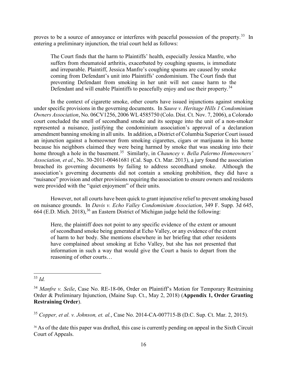proves to be a source of annoyance or interferes with peaceful possession of the property.<sup>[33](#page-28-0)</sup> In entering a preliminary injunction, the trial court held as follows:

The Court finds that the harm to Plaintiffs' health, especially Jessica Manfre, who suffers from rheumatoid arthritis, exacerbated by coughing spasms, is immediate and irreparable. Plaintiff, Jessica Manfre's coughing spasms are caused by smoke coming from Defendant's unit into Plaintiffs' condominium. The Court finds that preventing Defendant from smoking in her unit will not cause harm to the Defendant and will enable Plaintiffs to peacefully enjoy and use their property.<sup>[34](#page-28-1)</sup>

In the context of cigarette smoke, other courts have issued injunctions against smoking under specific provisions in the governing documents. In *Sauve v. Heritage Hills 1 Condominium Owners Association*, No. 06CV1256, 2006 WL 4585750 (Colo. Dist. Ct. Nov. 7, 2006), a Colorado court concluded the smell of secondhand smoke and its seepage into the unit of a non-smoker represented a nuisance, justifying the condominium association's approval of a declaration amendment banning smoking in all units. In addition, a District of Columbia Superior Court issued an injunction against a homeowner from smoking cigarettes, cigars or marijuana in his home because his neighbors claimed they were being harmed by smoke that was sneaking into their home through a hole in the basement. [35](#page-28-2) Similarly, in *Chauncey v. Bella Palermo Homeowners' Association, et al.*, No. 30-2011-00461681 (Cal. Sup. Ct. Mar. 2013), a jury found the association breached its governing documents by failing to address secondhand smoke. Although the association's governing documents did not contain a smoking prohibition, they did have a "nuisance" provision and other provisions requiring the association to ensure owners and residents were provided with the "quiet enjoyment" of their units.

However, not all courts have been quick to grant injunctive relief to prevent smoking based on nuisance grounds. In *Davis v. Echo Valley Condominium Association*, 349 F. Supp. 3d 645, 664 (E.D. Mich. 2018),  $36$  an Eastern District of Michigan judge held the following:

Here, the plaintiff does not point to any specific evidence of the extent or amount of secondhand smoke being generated at Echo Valley, or any evidence of the extent of harm to her body. She mentions elsewhere in her briefing that other residents have complained about smoking at Echo Valley, but she has not presented that information in such a way that would give the Court a basis to depart from the reasoning of other courts…

<span id="page-28-0"></span> $\overline{a}$ <sup>33</sup> *Id.*

<span id="page-28-1"></span><sup>&</sup>lt;sup>34</sup> Manfre v. Seile, Case No. RE-18-06, Order on Plaintiff's Motion for Temporary Restraining Order & Preliminary Injunction, (Maine Sup. Ct., May 2, 2018) (**Appendix 1, Order Granting Restraining Order**).

<span id="page-28-2"></span><sup>35</sup> *Copper, et al. v. Johnson, et. al.*, Case No. 2014-CA-007715-B (D.C. Sup. Ct. Mar. 2, 2015).

<span id="page-28-3"></span><sup>&</sup>lt;sup>36</sup> As of the date this paper was drafted, this case is currently pending on appeal in the Sixth Circuit Court of Appeals.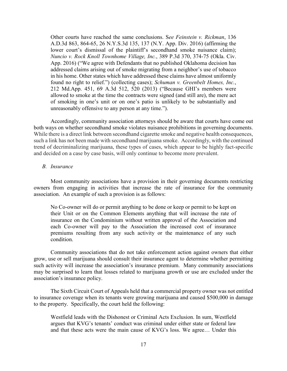Other courts have reached the same conclusions. S*ee Feinstein v. Rickman*, 136 A.D.3d 863, 864-65, 26 N.Y.S.3d 135, 137 (N.Y. App. Div. 2016) (affirming the lower court's dismissal of the plaintiff's secondhand smoke nuisance claim); *Nuncio v. Rock Knoll Townhome Village, Inc.*, 389 P.3d 370, 374-75 (Okla. Civ. App. 2016) ("We agree with Defendants that no published Oklahoma decision has addressed claims arising out of smoke migrating from a neighbor's use of tobacco in his home. Other states which have addressed these claims have almost uniformly found no right to relief.") (collecting cases); *Schuman v. Greenbelt Homes, Inc.*, 212 Md.App. 451, 69 A.3d 512, 520 (2013) ("Because GHI's members were allowed to smoke at the time the contracts were signed (and still are), the mere act of smoking in one's unit or on one's patio is unlikely to be substantially and unreasonably offensive to any person at any time.").

Accordingly, community association attorneys should be aware that courts have come out both ways on whether secondhand smoke violates nuisance prohibitions in governing documents. While there is a direct link between secondhand cigarette smoke and negative health consequences, such a link has not been made with secondhand marijuana smoke. Accordingly, with the continued trend of decriminalizing marijuana, these types of cases, which appear to be highly fact-specific and decided on a case by case basis, will only continue to become more prevalent.

#### *B. Insurance*

Most community associations have a provision in their governing documents restricting owners from engaging in activities that increase the rate of insurance for the community association. An example of such a provision is as follows:

No Co-owner will do or permit anything to be done or keep or permit to be kept on their Unit or on the Common Elements anything that will increase the rate of insurance on the Condominium without written approval of the Association and each Co-owner will pay to the Association the increased cost of insurance premiums resulting from any such activity or the maintenance of any such condition.

 Community associations that do not take enforcement action against owners that either grow, use or sell marijuana should consult their insurance agent to determine whether permitting such activity will increase the association's insurance premium. Many community associations may be surprised to learn that losses related to marijuana growth or use are excluded under the association's insurance policy.

The Sixth Circuit Court of Appeals held that a commercial property owner was not entitled to insurance coverage when its tenants were growing marijuana and caused \$500,000 in damage to the property. Specifically, the court held the following:

Westfield leads with the Dishonest or Criminal Acts Exclusion. In sum, Westfield argues that KVG's tenants' conduct was criminal under either state or federal law and that these acts were the main cause of KVG's loss. We agree… Under this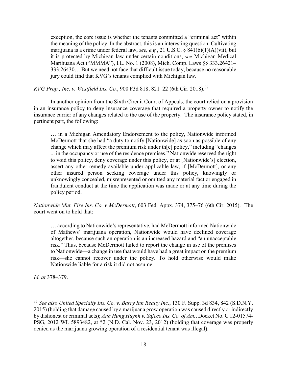exception, the core issue is whether the tenants committed a "criminal act" within the meaning of the policy. In the abstract, this is an interesting question. Cultivating marijuana is a crime under federal law, *see, e.g.*, 21 U.S.C. § 841(b)(1)(A)(vii), but it is protected by Michigan law under certain conditions, *see* Michigan Medical Marihuana Act ("MMMA"), I.L. No. 1 (2008), Mich. Comp. Laws §§ 333.26421– 333.26430… But we need not face that difficult issue today, because no reasonable jury could find that KVG's tenants complied with Michigan law.

*KVG Prop., Inc. v. Westfield Ins. Co.*, 900 F3d 818, 821–22 (6th Cir. 2018).[37](#page-30-0)

In another opinion from the Sixth Circuit Court of Appeals, the court relied on a provision in an insurance policy to deny insurance coverage that required a property owner to notify the insurance carrier of any changes related to the use of the property. The insurance policy stated, in pertinent part, the following:

… in a Michigan Amendatory Endorsement to the policy, Nationwide informed McDermott that she had "a duty to notify [Nationwide] as soon as possible of any change which may affect the premium risk under th[e] policy," including "changes ... in the occupancy or use of the residence premises." Nationwide reserved the right to void this policy, deny coverage under this policy, or at [Nationwide's] election, assert any other remedy available under applicable law, if [McDermott], or any other insured person seeking coverage under this policy, knowingly or unknowingly concealed, misrepresented or omitted any material fact or engaged in fraudulent conduct at the time the application was made or at any time during the policy period.

*Nationwide Mut. Fire Ins. Co. v McDermott*, 603 Fed. Appx. 374, 375–76 (6th Cir. 2015). The court went on to hold that:

… according to Nationwide's representative, had McDermott informed Nationwide of Mathews' marijuana operation, Nationwide would have declined coverage altogether, because such an operation is an increased hazard and "an unacceptable risk." Thus, because McDermott failed to report the change in use of the premises to Nationwide—a change in use that would have had a great impact on the premium risk—she cannot recover under the policy. To hold otherwise would make Nationwide liable for a risk it did not assume.

*Id. at* 378–379.

<span id="page-30-0"></span><sup>37</sup> *See also United Specialty Ins. Co. v. Barry Inn Realty Inc.*, 130 F. Supp. 3d 834, 842 (S.D.N.Y. 2015) (holding that damage caused by a marijuana grow operation was caused directly or indirectly by dishonest or criminal acts); *Anh Hung Huynh v. Safeco Ins. Co. of Am.*, Docket No. C 12-01574- PSG, 2012 WL 5893482, at \*2 (N.D. Cal. Nov. 23, 2012) (holding that coverage was properly denied as the marijuana growing operation of a residential tenant was illegal).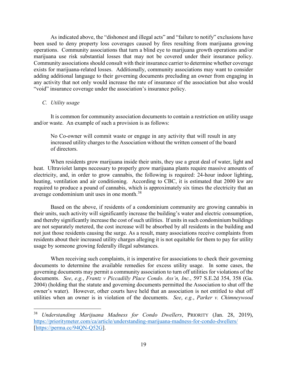As indicated above, the "dishonest and illegal acts" and "failure to notify" exclusions have been used to deny property loss coverages caused by fires resulting from marijuana growing operations. Community associations that turn a blind eye to marijuana growth operations and/or marijuana use risk substantial losses that may not be covered under their insurance policy. Community associations should consult with their insurance carrier to determine whether coverage exists for marijuana-related losses. Additionally, community associations may want to consider adding additional language to their governing documents precluding an owner from engaging in any activity that not only would increase the rate of insurance of the association but also would "void" insurance coverage under the association's insurance policy.

#### *C. Utility usage*

 $\overline{a}$ 

It is common for community association documents to contain a restriction on utility usage and/or waste. An example of such a provision is as follows:

No Co-owner will commit waste or engage in any activity that will result in any increased utility charges to the Association without the written consent of the board of directors.

When residents grow marijuana inside their units, they use a great deal of water, light and heat. Ultraviolet lamps necessary to properly grow marijuana plants require massive amounts of electricity, and, in order to grow cannabis, the following is required: 24-hour indoor lighting, heating, ventilation and air conditioning. According to CBC, it is estimated that 2000 kw are required to produce a pound of cannabis, which is approximately six times the electricity that an average condominium unit uses in one month.[38](#page-31-0)

Based on the above, if residents of a condominium community are growing cannabis in their units, such activity will significantly increase the building's water and electric consumption, and thereby significantly increase the cost of such utilities. If units in such condominium buildings are not separately metered, the cost increase will be absorbed by all residents in the building and not just those residents causing the surge. As a result, many associations receive complaints from residents about their increased utility charges alleging it is not equitable for them to pay for utility usage by someone growing federally illegal substances.

When receiving such complaints, it is imperative for associations to check their governing documents to determine the available remedies for excess utility usage. In some cases, the governing documents may permit a community association to turn off utilities for violations of the documents. *See*, *e.g.*, *Frantz v Piccadilly Place Condo. Ass'n, Inc.*, 597 S.E.2d 354, 358 (Ga. 2004) (holding that the statute and governing documents permitted the Association to shut off the owner's water). However, other courts have held that an association is not entitled to shut off utilities when an owner is in violation of the documents. *See*, *e.g.*, *Parker v. Chimneywood* 

<span id="page-31-0"></span><sup>38</sup> *Understanding Marijuana Madness for Condo Dwellers*, PRIORITY (Jan. 28, 2019), <https://prioritymeter.com/ca/article/understanding-marijuana-madness-for-condo-dwellers/> [\[https://perma.cc/94QN-Q52G\]](https://perma.cc/94QN-Q52G).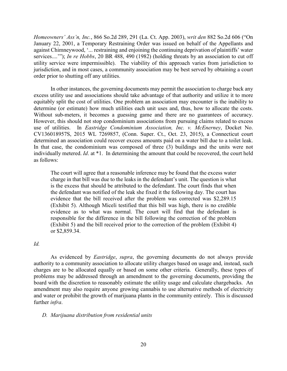*Homeowners' Ass'n, Inc.*, 866 So.2d 289, 291 (La. Ct. App. 2003), *writ den* 882 So.2d 606 ("On January 22, 2001, a Temporary Restraining Order was issued on behalf of the Appellants and against Chimneywood, '... restraining and enjoining the continuing deprivation of plaintiffs' water services....'"); *In re Hobbs*, 20 BR 488, 490 (1982) (holding threats by an association to cut off utility service were impermissible). The viability of this approach varies from jurisdiction to jurisdiction, and in most cases, a community association may be best served by obtaining a court order prior to shutting off any utilities.

In other instances, the governing documents may permit the association to charge back any excess utility use and associations should take advantage of that authority and utilize it to more equitably split the cost of utilities. One problem an association may encounter is the inability to determine (or estimate) how much utilities each unit uses and, thus, how to allocate the costs. Without sub-meters, it becomes a guessing game and there are no guarantees of accuracy. However, this should not stop condominium associations from pursuing claims related to excess use of utilities. In *Eastridge Condominium Association, Inc. v. McEnerney*, Docket No. CV136018957S, 2015 WL 7269857, (Conn. Super. Ct., Oct. 23, 2015), a Connecticut court determined an association could recover excess amounts paid on a water bill due to a toilet leak. In that case, the condominium was composed of three (3) buildings and the units were not individually metered. *Id*. at \*1. In determining the amount that could be recovered, the court held as follows:

The court will agree that a reasonable inference may be found that the excess water charge in that bill was due to the leaks in the defendant's unit. The question is what is the excess that should be attributed to the defendant. The court finds that when the defendant was notified of the leak she fixed it the following day. The court has evidence that the bill received after the problem was corrected was \$2,289.15 (Exhibit 5). Although Miceli testified that this bill was high, there is no credible evidence as to what was normal. The court will find that the defendant is responsible for the difference in the bill following the correction of the problem (Exhibit 5) and the bill received prior to the correction of the problem (Exhibit 4) or \$2,859.34.

#### *Id.*

As evidenced by *Eastridge*, *supra*, the governing documents do not always provide authority to a community association to allocate utility charges based on usage and, instead, such charges are to be allocated equally or based on some other criteria. Generally, these types of problems may be addressed through an amendment to the governing documents, providing the board with the discretion to reasonably estimate the utility usage and calculate chargebacks. An amendment may also require anyone growing cannabis to use alternative methods of electricity and water or prohibit the growth of marijuana plants in the community entirely. This is discussed further *infra*.

#### *D. Marijuana distribution from residential units*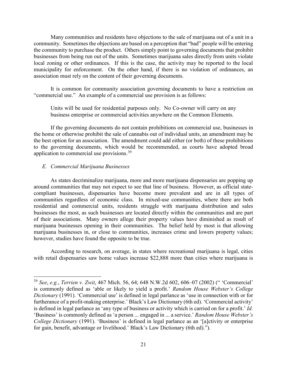Many communities and residents have objections to the sale of marijuana out of a unit in a community. Sometimes the objections are based on a perception that "bad" people will be entering the community to purchase the product. Others simply point to governing documents that prohibit businesses from being run out of the units. Sometimes marijuana sales directly from units violate local zoning or other ordinances. If this is the case, the activity may be reported to the local municipality for enforcement. On the other hand, if there is no violation of ordinances, an association must rely on the content of their governing documents.

It is common for community association governing documents to have a restriction on "commercial use." An example of a commercial use provision is as follows:

Units will be used for residential purposes only. No Co-owner will carry on any business enterprise or commercial activities anywhere on the Common Elements.

If the governing documents do not contain prohibitions on commercial use, businesses in the home or otherwise prohibit the sale of cannabis out of individual units, an amendment may be the best option for an association. The amendment could add either (or both) of these prohibitions to the governing documents, which would be recommended, as courts have adopted broad application to commercial use provisions.<sup>[39](#page-33-0)</sup>

#### *E. Commercial Marijuana Businesses*

 $\overline{a}$ 

As states decriminalize marijuana, more and more marijuana dispensaries are popping up around communities that may not expect to see that line of business. However, as official statecompliant businesses, dispensaries have become more prevalent and are in all types of communities regardless of economic class. In mixed-use communities, where there are both residential and commercial units, residents struggle with marijuana distribution and sales businesses the most, as such businesses are located directly within the communities and are part of their associations. Many owners allege their property values have diminished as result of marijuana businesses opening in their communities. The belief held by most is that allowing marijuana businesses in, or close to communities, increases crime and lowers property values; however, studies have found the opposite to be true.

According to research, on average, in states where recreational marijuana is legal, cities with retail dispensaries saw [home values](https://listwithclever.com/real-estate-blog/home-value-estimate-websites/) increase \$22,888 more than cities where marijuana is

<span id="page-33-0"></span><sup>39</sup> *See*, *e.g.*, *Terrien v. Zwit*, 467 Mich. 56, 64; 648 N.W.2d 602, 606–07 (2002) (" 'Commercial' is commonly defined as 'able or likely to yield a profit.' *Random House Webster's College Dictionary* (1991). 'Commercial use' is defined in legal parlance as 'use in connection with or for furtherance of a profit-making enterprise.' Black's Law Dictionary (6th ed). 'Commercial activity' is defined in legal parlance as 'any type of business or activity which is carried on for a profit.' *Id.* 'Business' is commonly defined as 'a person ... engaged in ... a service.' *Random House Webster's College Dictionary* (1991). 'Business' is defined in legal parlance as an '[a]ctivity or enterprise for gain, benefit, advantage or livelihood.' Black's Law Dictionary (6th ed).").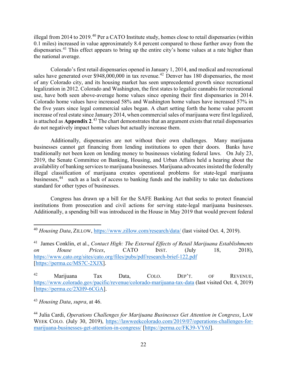illegal from 2014 to 2019.<sup>[40](#page-34-0)</sup> Per a CATO Institute study, homes close to retail dispensaries (within 0.1 miles) increased in value approximately 8.4 percent compared to those further away from the dispensaries.<sup>[41](#page-34-1)</sup> This effect appears to bring up the entire city's home values at a rate higher than the national average.

Colorado's first retail dispensaries opened in January 1, 2014, and medical and recreational sales have generated over \$948,000,000 in tax revenue.<sup>42</sup> Denver has 180 dispensaries, the most of any Colorado city, and its housing market has seen unprecedented growth since recreational legalization in 2012. Colorado and Washington, the first states to legalize cannabis for recreational use, have both seen above-average home values since opening their first dispensaries in 2014. Colorado home values have increased 58% and Washington home values have increased 57% in the five years since legal commercial sales began. A chart setting forth the home value percent increase of real estate since January 2014, when commercial sales of marijuana were first legalized, is attached as **Appendix 2**. [43](#page-34-3) The chart demonstrates that an argument exists that retail dispensaries do not negatively impact home values but actually increase them.

Additionally, dispensaries are not without their own challenges. Many marijuana businesses cannot get financing from lending institutions to open their doors. Banks have traditionally not been keen on lending money to businesses violating federal laws. On July 23, 2019, the Senate Committee on Banking, Housing, and Urban Affairs held a hearing about the availability of banking services to marijuana businesses. Marijuana advocates insisted the federally illegal classification of marijuana creates operational problems for state-legal marijuana businesses,<sup>[44](#page-34-4)</sup> such as a lack of access to banking funds and the inability to take tax deductions standard for other types of businesses.

Congress has drawn up a bill for the SAFE Banking Act that seeks to protect financial institutions from prosecution and civil actions for serving state-legal marijuana businesses. Additionally, a spending bill was introduced in the House in May 2019 that would prevent federal

<span id="page-34-1"></span>41 James Conklin, et al., *Contact High: The External Effects of Retail Marijuana Establishments on House Prices*, CATO INST. (July 18, 2018), <https://www.cato.org/sites/cato.org/files/pubs/pdf/research-brief-122.pdf> [\[https://perma.cc/MS7C-2XJX\]](https://perma.cc/MS7C-2XJX).

<span id="page-34-2"></span><sup>42</sup> Marijuana Tax Data, COLO. DEP'T. OF REVENUE, <https://www.colorado.gov/pacific/revenue/colorado-marijuana-tax-data> (last visited Oct. 4, 2019) [\[https://perma.cc/2XH9-6CGA\]](https://perma.cc/2XH9-6CGA).

<span id="page-34-3"></span><sup>43</sup> *Housing Data*, *supra*, at 46.

<span id="page-34-0"></span><sup>40</sup> *Housing Data*, ZILLOW,<https://www.zillow.com/research/data/>(last visited Oct. 4, 2019).

<span id="page-34-4"></span><sup>44</sup> Julia Cardi, *Operations Challenges for Marijuana Businesses Get Attention in Congress*, LAW WEEK COLO. (July 30, 2019), [https://lawweekcolorado.com/2019/07/operations-challenges-for](https://lawweekcolorado.com/2019/07/operations-challenges-for-marijuana-businesses-get-attention-in-congress/)[marijuana-businesses-get-attention-in-congress/](https://lawweekcolorado.com/2019/07/operations-challenges-for-marijuana-businesses-get-attention-in-congress/) [\[https://perma.cc/FK39-VY6J\]](https://perma.cc/FK39-VY6J).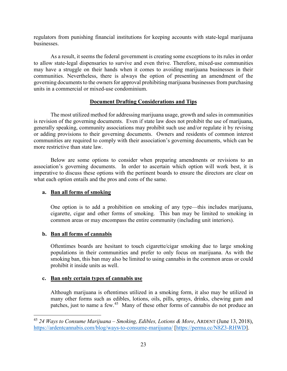regulators from punishing financial institutions for keeping accounts with state-legal marijuana businesses.

As a result, it seems the federal government is creating some exceptions to its rules in order to allow state-legal dispensaries to survive and even thrive. Therefore, mixed-use communities may have a struggle on their hands when it comes to avoiding marijuana businesses in their communities. Nevertheless, there is always the option of presenting an amendment of the governing documents to the owners for approval prohibiting marijuana businesses from purchasing units in a commercial or mixed-use condominium.

# **Document Drafting Considerations and Tips**

The most utilized method for addressing marijuana usage, growth and sales in communities is revision of the governing documents. Even if state law does not prohibit the use of marijuana, generally speaking, community associations may prohibit such use and/or regulate it by revising or adding provisions to their governing documents. Owners and residents of common interest communities are required to comply with their association's governing documents, which can be more restrictive than state law.

Below are some options to consider when preparing amendments or revisions to an association's governing documents. In order to ascertain which option will work best, it is imperative to discuss these options with the pertinent boards to ensure the directors are clear on what each option entails and the pros and cons of the same.

# **a. Ban all forms of smoking**

One option is to add a prohibition on smoking of any type—this includes marijuana, cigarette, cigar and other forms of smoking. This ban may be limited to smoking in common areas or may encompass the entire community (including unit interiors).

# **b. Ban all forms of cannabis**

 $\overline{a}$ 

Oftentimes boards are hesitant to touch cigarette/cigar smoking due to large smoking populations in their communities and prefer to only focus on marijuana. As with the smoking ban, this ban may also be limited to using cannabis in the common areas or could prohibit it inside units as well.

#### **c. Ban only certain types of cannabis use**

Although marijuana is oftentimes utilized in a smoking form, it also may be utilized in many other forms such as edibles, lotions, oils, pills, sprays, drinks, chewing gum and patches, just to name a few.[45](#page-35-0) Many of these other forms of cannabis do not produce an

<span id="page-35-0"></span><sup>45</sup> *24 Ways to Consume Marijuana – Smoking, Edibles, Lotions & More*, ARDENT (June 13, 2018), <https://ardentcannabis.com/blog/ways-to-consume-marijuana/>[\[https://perma.cc/N8Z3-RHWD\]](https://perma.cc/N8Z3-RHWD).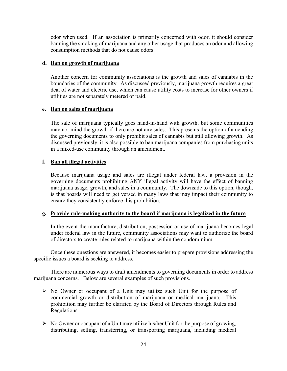odor when used. If an association is primarily concerned with odor, it should consider banning the smoking of marijuana and any other usage that produces an odor and allowing consumption methods that do not cause odors.

## **d. Ban on growth of marijuana**

Another concern for community associations is the growth and sales of cannabis in the boundaries of the community. As discussed previously, marijuana growth requires a great deal of water and electric use, which can cause utility costs to increase for other owners if utilities are not separately metered or paid.

# **e. Ban on sales of marijuana**

The sale of marijuana typically goes hand-in-hand with growth, but some communities may not mind the growth if there are not any sales. This presents the option of amending the governing documents to only prohibit sales of cannabis but still allowing growth. As discussed previously, it is also possible to ban marijuana companies from purchasing units in a mixed-use community through an amendment.

# **f. Ban all illegal activities**

Because marijuana usage and sales are illegal under federal law, a provision in the governing documents prohibiting ANY illegal activity will have the effect of banning marijuana usage, growth, and sales in a community. The downside to this option, though, is that boards will need to get versed in many laws that may impact their community to ensure they consistently enforce this prohibition.

#### **g. Provide rule-making authority to the board if marijuana is legalized in the future**

In the event the manufacture, distribution, possession or use of marijuana becomes legal under federal law in the future, community associations may want to authorize the board of directors to create rules related to marijuana within the condominium.

Once these questions are answered, it becomes easier to prepare provisions addressing the specific issues a board is seeking to address.

There are numerous ways to draft amendments to governing documents in order to address marijuana concerns. Below are several examples of such provisions.

- $\triangleright$  No Owner or occupant of a Unit may utilize such Unit for the purpose of commercial growth or distribution of marijuana or medical marijuana. This prohibition may further be clarified by the Board of Directors through Rules and Regulations.
- $\triangleright$  No Owner or occupant of a Unit may utilize his/her Unit for the purpose of growing, distributing, selling, transferring, or transporting marijuana, including medical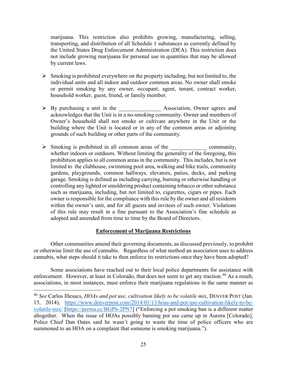marijuana. This restriction also prohibits growing, manufacturing, selling, transporting, and distribution of all Schedule 1 substances as currently defined by the United States Drug Enforcement Administration (DEA). This restriction does not include growing marijuana for personal use in quantities that may be allowed by current laws.

- $\triangleright$  Smoking is prohibited everywhere on the property including, but not limited to, the individual units and all indoor and outdoor common areas. No owner shall smoke or permit smoking by any owner, occupant, agent, tenant, contract worker, household worker, guest, friend, or family member.
- > By purchasing a unit in the \_\_\_\_\_\_\_\_\_\_\_\_\_\_\_\_\_\_\_ Association, Owner agrees and acknowledges that the Unit is in a no-smoking community. Owner and members of Owner's household shall not smoke or cultivate anywhere in the Unit or the building where the Unit is located or in any of the common areas or adjoining grounds of such building or other parts of the community.
- $\triangleright$  Smoking is prohibited in all common areas of the community, whether indoors or outdoors. Without limiting the generality of the foregoing, this prohibition applies to all common areas in the community. This includes, but is not limited to the clubhouse, swimming pool area, walking and bike trails, community gardens, playgrounds, common hallways, elevators, patios, decks, and parking garage. Smoking is defined as including carrying, burning or otherwise handling or controlling any lighted or smoldering product containing tobacco or other substance such as marijuana, including, but not limited to, cigarettes, cigars or pipes. Each owner is responsible for the compliance with this rule by the owner and all residents within the owner's unit, and for all guests and invitees of such owner. Violations of this rule may result in a fine pursuant to the Association's fine schedule as adopted and amended from time to time by the Board of Directors.

#### **Enforcement of Marijuana Restrictions**

Other communities amend their governing documents, as discussed previously, to prohibit or otherwise limit the use of cannabis. Regardless of what method an association uses to address cannabis, what steps should it take to then enforce its restrictions once they have been adopted?

Some associations have reached out to their local police departments for assistance with enforcement. However, at least in Colorado, that does not seem to get any traction.<sup>46</sup> As a result, associations, in most instances, must enforce their marijuana regulations in the same manner as

<span id="page-37-0"></span><sup>46</sup> *See* Carlos Illesacs, *HOAs and pot use, cultivation likely to be volatile mix*, DENVER POST (Jan. 13, 2014), [https://www.denverpost.com/2014/01/13/hoas-and-pot-use-cultivation-likely-to-be](https://www.denverpost.com/2014/01/13/hoas-and-pot-use-cultivation-likely-to-be-volatile-mix/)[volatile-mix/](https://www.denverpost.com/2014/01/13/hoas-and-pot-use-cultivation-likely-to-be-volatile-mix/) [\[https://perma.cc/BGP6-2PN7\]](https://perma.cc/BGP6-2PN7) ("Enforcing a pot smoking ban is a different matter altogether. When the issue of HOAs possibly banning pot use came up in Aurora [Colorado], Police Chief Dan Oates said he wasn't going to waste the time of police officers who are summoned to an HOA on a complaint that someone is smoking marijuana.").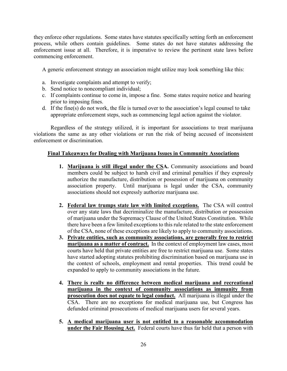they enforce other regulations. Some states have statutes specifically setting forth an enforcement process, while others contain guidelines. Some states do not have statutes addressing the enforcement issue at all. Therefore, it is imperative to review the pertinent state laws before commencing enforcement.

A generic enforcement strategy an association might utilize may look something like this:

- a. Investigate complaints and attempt to verify;
- b. Send notice to noncompliant individual;
- c. If complaints continue to come in, impose a fine. Some states require notice and hearing prior to imposing fines.
- d. If the fine(s) do not work, the file is turned over to the association's legal counsel to take appropriate enforcement steps, such as commencing legal action against the violator.

Regardless of the strategy utilized, it is important for associations to treat marijuana violations the same as any other violations or run the risk of being accused of inconsistent enforcement or discrimination.

# **Final Takeaways for Dealing with Marijuana Issues in Community Associations**

- **1. Marijuana is still illegal under the CSA.** Community associations and board members could be subject to harsh civil and criminal penalties if they expressly authorize the manufacture, distribution or possession of marijuana on community association property. Until marijuana is legal under the CSA, community associations should not expressly authorize marijuana use.
- **2. Federal law trumps state law with limited exceptions.** The CSA will control over any state laws that decriminalize the manufacture, distribution or possession of marijuana under the Supremacy Clause of the United States Constitution. While there have been a few limited exceptions to this rule related to the state enforcement of the CSA, none of these exceptions are likely to apply to community associations.
- **3. Private entities, such as community associations, are generally free to restrict marijuana as a matter of contract.** In the context of employment law cases, most courts have held that private entities are free to restrict marijuana use. Some states have started adopting statutes prohibiting discrimination based on marijuana use in the context of schools, employment and rental properties. This trend could be expanded to apply to community associations in the future.
- **4. There is really no difference between medical marijuana and recreational marijuana in the context of community associations as immunity from prosecution does not equate to legal conduct.** All marijuana is illegal under the CSA. There are no exceptions for medical marijuana use, but Congress has defunded criminal prosecutions of medical marijuana users for several years.
- **5. A medical marijuana user is not entitled to a reasonable accommodation under the Fair Housing Act.** Federal courts have thus far held that a person with